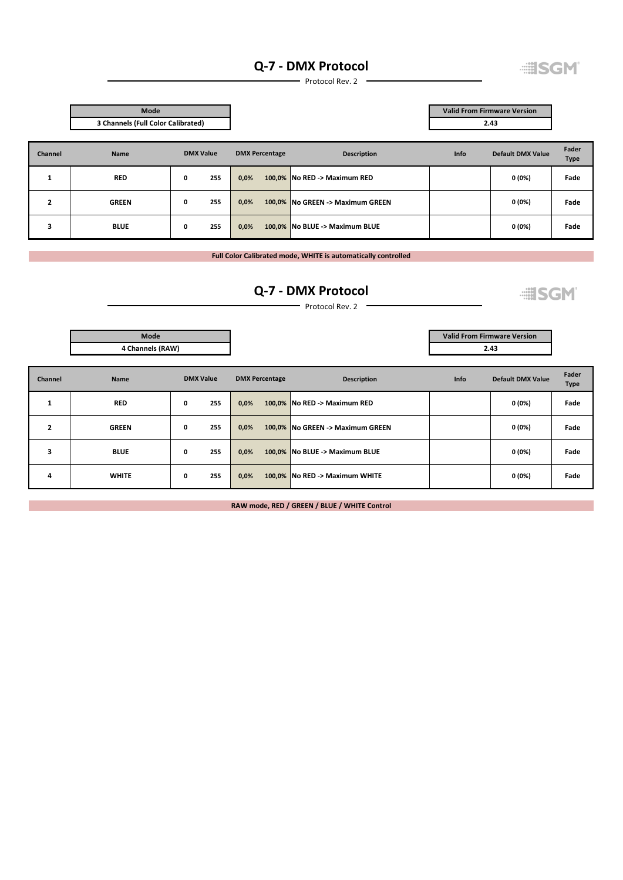### **Q‐7 ‐ DMX Protocol**

**EISGM** 

Protocol Rev. 2

|                | Mode         | 3 Channels (Full Color Calibrated) |                       |                                  | <b>Valid From Firmware Version</b><br>2.43 |                          |               |
|----------------|--------------|------------------------------------|-----------------------|----------------------------------|--------------------------------------------|--------------------------|---------------|
| <b>Channel</b> | Name         | <b>DMX Value</b>                   | <b>DMX Percentage</b> | <b>Description</b>               | <b>Info</b>                                | <b>Default DMX Value</b> | Fader<br>Type |
| ÷.             | <b>RED</b>   | 255<br>0                           | 0,0%                  | 100,0% No RED -> Maximum RED     |                                            | 0(0%)                    | Fade          |
| 2              | <b>GREEN</b> | 255<br>0                           | 0,0%                  | 100,0% No GREEN -> Maximum GREEN |                                            | 0 (0%)                   | Fade          |
| 3              | <b>BLUE</b>  | 255<br>0                           | 0,0%                  | 100,0% No BLUE -> Maximum BLUE   |                                            | 0 (0%)                   | Fade          |

**Full Color Calibrated mode, WHITE is automatically controlled**

# **Q‐7 ‐ DMX Protocol**

**EISGM** 

**2.43**

**Valid From Firmware Version**

 $\overline{\phantom{a}}$  Protocol Rev. 2  $\overline{\phantom{a}}$ 

| Mode             |
|------------------|
| 4 Channels (RAW) |
|                  |

| <b>Channel</b>                                   | <b>Name</b>  | <b>DMX Value</b> | <b>DMX Percentage</b> | <b>Description</b>               | <b>Info</b> | Default DMX Value | Fader<br><b>Type</b> |
|--------------------------------------------------|--------------|------------------|-----------------------|----------------------------------|-------------|-------------------|----------------------|
| $\mathbf{\mathbf{\mathbf{\mathbf{\mathbf{I}}}}}$ | <b>RED</b>   | 255<br>0         | 0,0%                  | 100,0% No RED -> Maximum RED     |             | 0(0%)             | Fade                 |
| $\overline{2}$                                   | <b>GREEN</b> | 255<br>0         | 0,0%                  | 100,0% No GREEN -> Maximum GREEN |             | 0(0%)             | Fade                 |
| 3                                                | <b>BLUE</b>  | 255<br>0         | 0,0%                  | 100,0% No BLUE -> Maximum BLUE   |             | 0(0%)             | Fade                 |
| 4                                                | <b>WHITE</b> | 255<br>0         | 0,0%                  | 100,0% No RED -> Maximum WHITE   |             | 0(0%)             | Fade                 |

**RAW mode, RED / GREEN / BLUE / WHITE Control**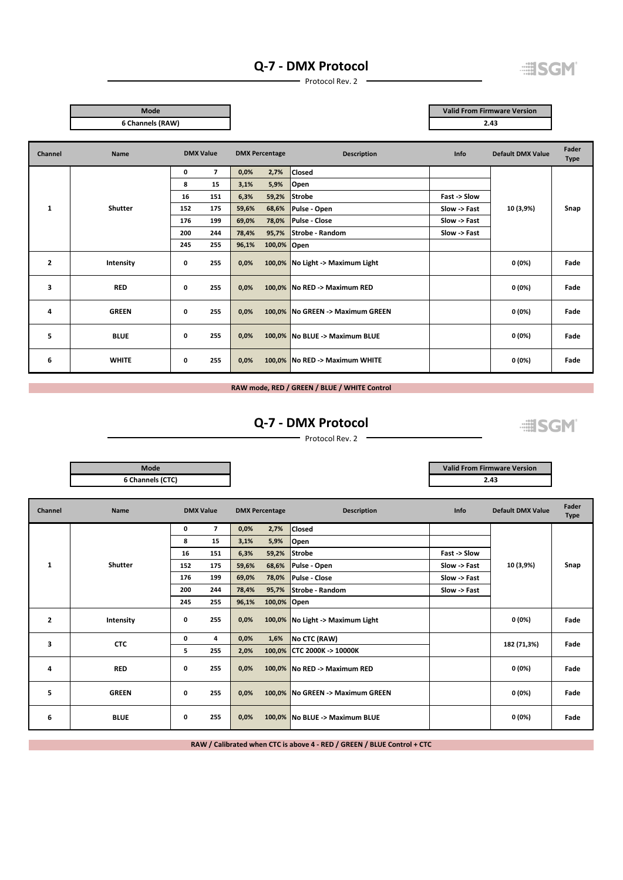### **Q‐7 ‐ DMX Protocol**



Protocol Rev. 2

**Mode**

**Valid From Firmware Version 2.43**

| www              |  |
|------------------|--|
| 6 Channels (RAW) |  |

| Channel        | Name           | <b>DMX Value</b>    |       | <b>DMX Percentage</b> | <b>Description</b>               | Info         | <b>Default DMX Value</b> | Fader<br><b>Type</b> |
|----------------|----------------|---------------------|-------|-----------------------|----------------------------------|--------------|--------------------------|----------------------|
|                |                | $\overline{7}$<br>0 | 0,0%  | 2,7%                  | <b>Closed</b>                    |              |                          |                      |
|                |                | 15<br>8             | 3,1%  | 5,9%                  | Open                             |              |                          |                      |
|                |                | 151<br>16           | 6,3%  | 59,2%                 | Strobe                           | Fast -> Slow |                          |                      |
| $\mathbf{1}$   | <b>Shutter</b> | 175<br>152          | 59,6% | 68,6%                 | Pulse - Open                     | Slow -> Fast | 10 (3,9%)                | Snap                 |
|                |                | 199<br>176          | 69,0% | 78,0%                 | Pulse - Close                    | Slow -> Fast |                          |                      |
|                |                | 244<br>200          | 78,4% | 95,7%                 | Strobe - Random                  | Slow -> Fast |                          |                      |
|                |                | 255<br>245          | 96,1% | 100,0% Open           |                                  |              |                          |                      |
| $\overline{2}$ | Intensity      | 255<br>0            | 0,0%  |                       | 100,0% No Light -> Maximum Light |              | 0(0%)                    | Fade                 |
| 3              | <b>RED</b>     | 255<br>0            | 0,0%  |                       | 100,0% No RED -> Maximum RED     |              | 0(0%)                    | Fade                 |
| 4              | <b>GREEN</b>   | 255<br>0            | 0,0%  |                       | 100,0% No GREEN -> Maximum GREEN |              | 0(0%)                    | Fade                 |
| 5              | <b>BLUE</b>    | 255<br>0            | 0,0%  |                       | 100,0% No BLUE -> Maximum BLUE   |              | 0(0%)                    | Fade                 |
| 6              | <b>WHITE</b>   | 255<br>0            | 0,0%  |                       | 100,0% No RED -> Maximum WHITE   |              | 0 (0%)                   | Fade                 |

## **RAW mode, RED / GREEN / BLUE / WHITE Control**

## **Q‐7 ‐ DMX Protocol**

 $\longrightarrow$  Protocol Rev. 2  $\longrightarrow$ 

**ESGM** 

| Mode        | <b>Valid From Firmware Version</b> |
|-------------|------------------------------------|
| nnels (CTC) | 2.43                               |

| 6 Channels (CTC) | <b>Mode</b> | Valid From Firmy |
|------------------|-------------|------------------|
|                  |             | 43<br>           |

| <b>Channel</b> | Name         | <b>DMX Value</b> |                |       | <b>DMX Percentage</b> | <b>Description</b>               | Info         | <b>Default DMX Value</b> | Fader<br><b>Type</b> |
|----------------|--------------|------------------|----------------|-------|-----------------------|----------------------------------|--------------|--------------------------|----------------------|
|                |              | 0                | $\overline{7}$ | 0,0%  | 2,7%                  | <b>Closed</b>                    |              |                          |                      |
|                |              | 8                | 15             | 3,1%  | 5,9%                  | Open                             |              |                          |                      |
|                |              | 16               | 151            | 6,3%  | 59,2%                 | <b>Strobe</b>                    | Fast -> Slow |                          |                      |
| 1              | Shutter      | 152              | 175            | 59,6% | 68,6%                 | Pulse - Open                     | Slow -> Fast | 10 (3,9%)                | Snap                 |
|                |              | 176              | 199            | 69,0% | 78,0%                 | Pulse - Close                    | Slow -> Fast |                          |                      |
|                |              | 200              | 244            | 78,4% | 95,7%                 | Strobe - Random                  | Slow -> Fast |                          |                      |
|                |              | 245              | 255            | 96,1% | 100,0% Open           |                                  |              |                          |                      |
| 2              | Intensity    | 0                | 255            | 0,0%  |                       | 100,0% No Light -> Maximum Light |              | 0 (0%)                   | Fade                 |
| 3              | <b>CTC</b>   | 0                | 4              | 0,0%  | 1,6%                  | No CTC (RAW)                     |              | 182 (71,3%)              | Fade                 |
|                |              | 5                | 255            | 2,0%  |                       | 100,0% CTC 2000K -> 10000K       |              |                          |                      |
| 4              | <b>RED</b>   | 0                | 255            | 0,0%  |                       | 100,0%   No RED -> Maximum RED   |              | 0 (0%)                   | Fade                 |
| 5              | <b>GREEN</b> | 0                | 255            | 0,0%  |                       | 100,0% No GREEN -> Maximum GREEN |              | 0(0%)                    | Fade                 |
| 6              | <b>BLUE</b>  | 0                | 255            | 0,0%  |                       | 100,0% No BLUE -> Maximum BLUE   |              | 0 (0%)                   | Fade                 |

**RAW / Calibrated when CTC is above 4 ‐ RED / GREEN / BLUE Control + CTC**